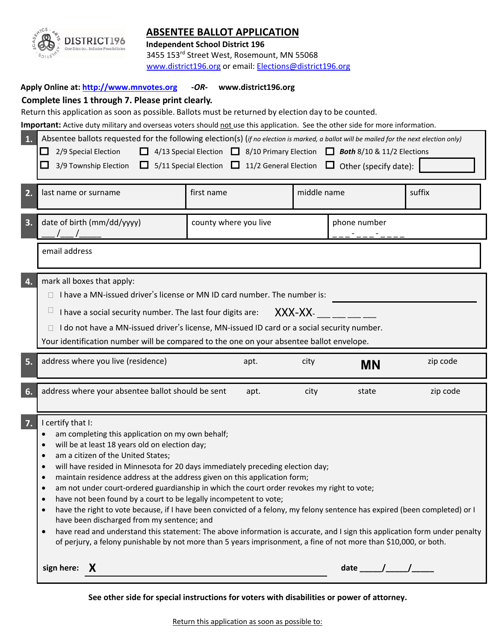

# **ABSENTEE BALLOT APPLICATION**

**Independent School District 196**  3455 153rd Street West, Rosemount, MN 55068

www.district196.org or email: Elections@district196.org

### **Apply Online at: http://www.mnvotes.org ‐***OR***‐ www.district196.org**

## **Complete lines 1 through 7. Please print clearly.**

Return this application as soon as possible. Ballots must be returned by election day to be counted.

Important: Active duty military and overseas voters should not use this application. See the other side for more information.

| 1. | Absentee ballots requested for the following election(s) (if no election is marked, a ballot will be mailed for the next election only)<br>2/9 Special Election<br>4/13 Special Election 3/10 Primary Election 3 Both 8/10 & 11/2 Elections<br>ப<br>$\Box$ 5/11 Special Election $\Box$ 11/2 General Election $\Box$ Other (specify date):<br>3/9 Township Election                                                                                                                                                                                                                                                                                                                                                                                                                                                                                                                                                                                                                                                       |            |      |              |           |          |
|----|---------------------------------------------------------------------------------------------------------------------------------------------------------------------------------------------------------------------------------------------------------------------------------------------------------------------------------------------------------------------------------------------------------------------------------------------------------------------------------------------------------------------------------------------------------------------------------------------------------------------------------------------------------------------------------------------------------------------------------------------------------------------------------------------------------------------------------------------------------------------------------------------------------------------------------------------------------------------------------------------------------------------------|------------|------|--------------|-----------|----------|
| 2. | last name or surname                                                                                                                                                                                                                                                                                                                                                                                                                                                                                                                                                                                                                                                                                                                                                                                                                                                                                                                                                                                                      | first name |      | middle name  |           | suffix   |
| 3. | date of birth (mm/dd/yyyy)<br>county where you live                                                                                                                                                                                                                                                                                                                                                                                                                                                                                                                                                                                                                                                                                                                                                                                                                                                                                                                                                                       |            |      | phone number |           |          |
|    | email address                                                                                                                                                                                                                                                                                                                                                                                                                                                                                                                                                                                                                                                                                                                                                                                                                                                                                                                                                                                                             |            |      |              |           |          |
| 4. | mark all boxes that apply:<br>I have a MN-issued driver's license or MN ID card number. The number is:<br>$\Box$<br>I have a social security number. The last four digits are:<br>XXX-XX-<br>I do not have a MN-issued driver's license, MN-issued ID card or a social security number.<br>Your identification number will be compared to the one on your absentee ballot envelope.                                                                                                                                                                                                                                                                                                                                                                                                                                                                                                                                                                                                                                       |            |      |              |           |          |
| 5. | address where you live (residence)                                                                                                                                                                                                                                                                                                                                                                                                                                                                                                                                                                                                                                                                                                                                                                                                                                                                                                                                                                                        |            | apt. | city         | <b>MN</b> | zip code |
| 6. | address where your absentee ballot should be sent                                                                                                                                                                                                                                                                                                                                                                                                                                                                                                                                                                                                                                                                                                                                                                                                                                                                                                                                                                         |            | apt. | city         | state     | zip code |
| 7. | I certify that I:<br>am completing this application on my own behalf;<br>will be at least 18 years old on election day;<br>$\bullet$<br>am a citizen of the United States;<br>$\bullet$<br>will have resided in Minnesota for 20 days immediately preceding election day;<br>$\bullet$<br>maintain residence address at the address given on this application form;<br>$\bullet$<br>am not under court-ordered guardianship in which the court order revokes my right to vote;<br>$\bullet$<br>have not been found by a court to be legally incompetent to vote;<br>have the right to vote because, if I have been convicted of a felony, my felony sentence has expired (been completed) or I<br>$\bullet$<br>have been discharged from my sentence; and<br>have read and understand this statement: The above information is accurate, and I sign this application form under penalty<br>$\bullet$<br>of perjury, a felony punishable by not more than 5 years imprisonment, a fine of not more than \$10,000, or both. |            |      |              |           |          |
|    | sign here: $X$                                                                                                                                                                                                                                                                                                                                                                                                                                                                                                                                                                                                                                                                                                                                                                                                                                                                                                                                                                                                            |            |      |              |           |          |

**See other side for special instructions for voters with disabilities or power of attorney.**